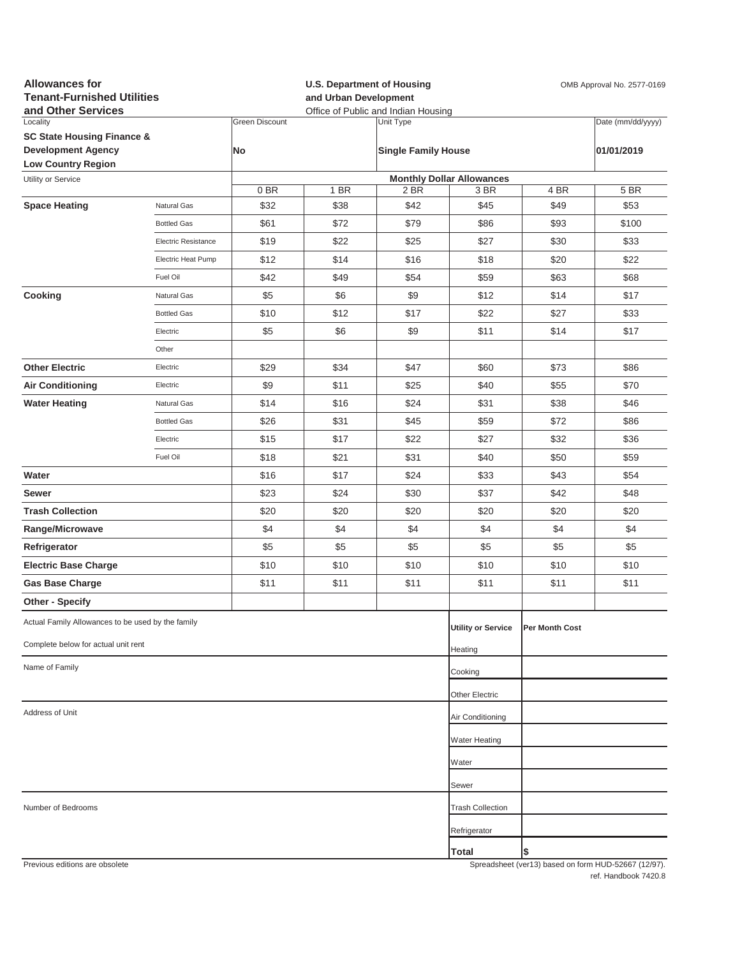| <b>Allowances for</b><br><b>Tenant-Furnished Utilities</b><br>and Other Services |                     |                       | <b>U.S. Department of Housing</b><br>OMB Approval No. 2577-0169<br>and Urban Development<br>Office of Public and Indian Housing |                            |                                  |                |                                                     |  |
|----------------------------------------------------------------------------------|---------------------|-----------------------|---------------------------------------------------------------------------------------------------------------------------------|----------------------------|----------------------------------|----------------|-----------------------------------------------------|--|
| Locality                                                                         |                     | <b>Green Discount</b> |                                                                                                                                 | Unit Type                  |                                  |                | Date (mm/dd/yyyy)                                   |  |
| <b>SC State Housing Finance &amp;</b>                                            |                     |                       |                                                                                                                                 |                            |                                  |                |                                                     |  |
| <b>Development Agency</b><br><b>Low Country Region</b>                           |                     | No                    |                                                                                                                                 | <b>Single Family House</b> |                                  |                | 01/01/2019                                          |  |
| Utility or Service                                                               |                     |                       |                                                                                                                                 |                            | <b>Monthly Dollar Allowances</b> |                |                                                     |  |
|                                                                                  |                     | 0 BR                  | 1 BR                                                                                                                            | 2 BR                       | 3 BR                             | 4 BR           | 5 BR                                                |  |
| <b>Space Heating</b>                                                             | Natural Gas         | \$32                  | \$38                                                                                                                            | \$42                       | \$45                             | \$49           | \$53                                                |  |
|                                                                                  | <b>Bottled Gas</b>  | \$61                  | \$72                                                                                                                            | \$79                       | \$86                             | \$93           | \$100                                               |  |
|                                                                                  | Electric Resistance | \$19                  | \$22                                                                                                                            | \$25                       | \$27                             | \$30           | \$33                                                |  |
|                                                                                  | Electric Heat Pump  | \$12                  | \$14                                                                                                                            | \$16                       | \$18                             | \$20           | \$22                                                |  |
|                                                                                  | Fuel Oil            | \$42                  | \$49                                                                                                                            | \$54                       | \$59                             | \$63           | \$68                                                |  |
| Cooking                                                                          | Natural Gas         | \$5                   | \$6                                                                                                                             | \$9                        | \$12                             | \$14           | \$17                                                |  |
|                                                                                  | <b>Bottled Gas</b>  | \$10                  | \$12                                                                                                                            | \$17                       | \$22                             | \$27           | \$33                                                |  |
|                                                                                  | Electric            | \$5                   | \$6                                                                                                                             | \$9                        | \$11                             | \$14           | \$17                                                |  |
|                                                                                  | Other               |                       |                                                                                                                                 |                            |                                  |                |                                                     |  |
| <b>Other Electric</b>                                                            | Electric            | \$29                  | \$34                                                                                                                            | \$47                       | \$60                             | \$73           | \$86                                                |  |
| <b>Air Conditioning</b>                                                          | Electric            | \$9                   | \$11                                                                                                                            | \$25                       | \$40                             | \$55           | \$70                                                |  |
| <b>Water Heating</b>                                                             | Natural Gas         | \$14                  | \$16                                                                                                                            | \$24                       | \$31                             | \$38           | \$46                                                |  |
|                                                                                  | <b>Bottled Gas</b>  | \$26                  | \$31                                                                                                                            | \$45                       | \$59                             | \$72           | \$86                                                |  |
|                                                                                  | Electric            | \$15                  | \$17                                                                                                                            | \$22                       | \$27                             | \$32           | \$36                                                |  |
|                                                                                  | Fuel Oil            | \$18                  | \$21                                                                                                                            | \$31                       | \$40                             | \$50           | \$59                                                |  |
| Water                                                                            |                     | \$16                  | \$17                                                                                                                            | \$24                       | \$33                             | \$43           | \$54                                                |  |
| Sewer                                                                            |                     | \$23                  | \$24                                                                                                                            | \$30                       | \$37                             | \$42           | \$48                                                |  |
| <b>Trash Collection</b>                                                          |                     | \$20                  | \$20                                                                                                                            | \$20                       | \$20                             | \$20           | \$20                                                |  |
| Range/Microwave                                                                  |                     | \$4                   | \$4                                                                                                                             | \$4                        | \$4                              | \$4            | \$4                                                 |  |
| Refrigerator                                                                     |                     | \$5                   | \$5                                                                                                                             | \$5                        | \$5                              | \$5            | \$5                                                 |  |
| <b>Electric Base Charge</b>                                                      |                     | \$10                  | \$10                                                                                                                            | \$10                       | \$10                             | \$10           | \$10                                                |  |
| <b>Gas Base Charge</b>                                                           |                     | \$11                  | \$11                                                                                                                            | \$11                       | \$11                             | \$11           | \$11                                                |  |
| <b>Other - Specify</b>                                                           |                     |                       |                                                                                                                                 |                            |                                  |                |                                                     |  |
|                                                                                  |                     |                       |                                                                                                                                 |                            |                                  |                |                                                     |  |
| Actual Family Allowances to be used by the family                                |                     |                       |                                                                                                                                 |                            | <b>Utility or Service</b>        | Per Month Cost |                                                     |  |
| Complete below for actual unit rent                                              |                     |                       |                                                                                                                                 |                            | Heating                          |                |                                                     |  |
| Name of Family                                                                   |                     |                       |                                                                                                                                 |                            | Cooking                          |                |                                                     |  |
|                                                                                  |                     |                       |                                                                                                                                 |                            | Other Electric                   |                |                                                     |  |
| Address of Unit                                                                  |                     |                       | Air Conditioning                                                                                                                |                            |                                  |                |                                                     |  |
|                                                                                  |                     |                       |                                                                                                                                 |                            | <b>Water Heating</b>             |                |                                                     |  |
|                                                                                  |                     |                       |                                                                                                                                 |                            | Water                            |                |                                                     |  |
|                                                                                  |                     |                       |                                                                                                                                 |                            | Sewer                            |                |                                                     |  |
| Number of Bedrooms                                                               |                     |                       |                                                                                                                                 |                            | <b>Trash Collection</b>          |                |                                                     |  |
|                                                                                  |                     |                       |                                                                                                                                 |                            |                                  |                |                                                     |  |
|                                                                                  |                     |                       |                                                                                                                                 |                            | Refrigerator                     |                |                                                     |  |
| Previous editions are obsolete                                                   |                     |                       |                                                                                                                                 |                            | Total                            | \$             | Spreadsheet (ver13) hased on form HUD-52667 (12/97) |  |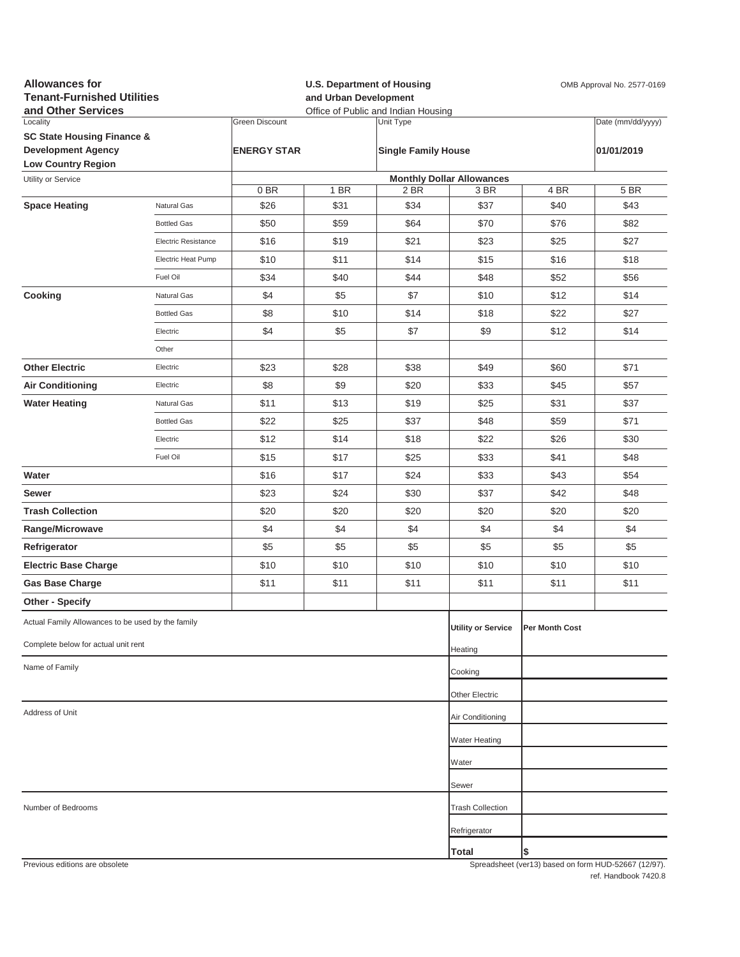| <b>Allowances for</b><br><b>Tenant-Furnished Utilities</b><br>and Other Services |                            |                       | and Urban Development | <b>U.S. Department of Housing</b><br>Office of Public and Indian Housing | OMB Approval No. 2577-0169       |                       |                                                     |
|----------------------------------------------------------------------------------|----------------------------|-----------------------|-----------------------|--------------------------------------------------------------------------|----------------------------------|-----------------------|-----------------------------------------------------|
| Locality                                                                         |                            | <b>Green Discount</b> |                       | Unit Type                                                                |                                  |                       | Date (mm/dd/yyyy)                                   |
| <b>SC State Housing Finance &amp;</b>                                            |                            |                       |                       |                                                                          |                                  |                       |                                                     |
| <b>Development Agency</b><br><b>Low Country Region</b>                           |                            | <b>ENERGY STAR</b>    |                       | <b>Single Family House</b>                                               |                                  |                       | 01/01/2019                                          |
| Utility or Service                                                               |                            |                       |                       |                                                                          | <b>Monthly Dollar Allowances</b> |                       |                                                     |
|                                                                                  |                            | 0BR                   | 1 BR                  | 2 BR                                                                     | 3 BR                             | 4 BR                  | 5 BR                                                |
| <b>Space Heating</b>                                                             | Natural Gas                | \$26                  | \$31                  | \$34                                                                     | \$37                             | \$40                  | \$43                                                |
|                                                                                  | <b>Bottled Gas</b>         | \$50                  | \$59                  | \$64                                                                     | \$70                             | \$76                  | \$82                                                |
|                                                                                  | <b>Electric Resistance</b> | \$16                  | \$19                  | \$21                                                                     | \$23                             | \$25                  | \$27                                                |
|                                                                                  | Electric Heat Pump         | \$10                  | \$11                  | \$14                                                                     | \$15                             | \$16                  | \$18                                                |
|                                                                                  | Fuel Oil                   | \$34                  | \$40                  | \$44                                                                     | \$48                             | \$52                  | \$56                                                |
| Cooking                                                                          | Natural Gas                | \$4                   | \$5                   | \$7                                                                      | \$10                             | \$12                  | \$14                                                |
|                                                                                  | <b>Bottled Gas</b>         | \$8                   | \$10                  | \$14                                                                     | \$18                             | \$22                  | \$27                                                |
|                                                                                  | Electric                   | \$4                   | \$5                   | \$7                                                                      | \$9                              | \$12                  | \$14                                                |
|                                                                                  | Other                      |                       |                       |                                                                          |                                  |                       |                                                     |
| <b>Other Electric</b>                                                            | Electric                   | \$23                  | \$28                  | \$38                                                                     | \$49                             | \$60                  | \$71                                                |
| <b>Air Conditioning</b>                                                          | Electric                   | \$8                   | \$9                   | \$20                                                                     | \$33                             | \$45                  | \$57                                                |
| <b>Water Heating</b>                                                             | Natural Gas                | \$11                  | \$13                  | \$19                                                                     | \$25                             | \$31                  | \$37                                                |
|                                                                                  | <b>Bottled Gas</b>         | \$22                  | \$25                  | \$37                                                                     | \$48                             | \$59                  | \$71                                                |
|                                                                                  | Electric                   | \$12                  | \$14                  | \$18                                                                     | \$22                             | \$26                  | \$30                                                |
|                                                                                  | Fuel Oil                   | \$15                  | \$17                  | \$25                                                                     | \$33                             | \$41                  | \$48                                                |
| Water                                                                            |                            | \$16                  | \$17                  | \$24                                                                     | \$33                             | \$43                  | \$54                                                |
| Sewer                                                                            |                            | \$23                  | \$24                  | \$30                                                                     | \$37                             | \$42                  | \$48                                                |
| <b>Trash Collection</b>                                                          |                            | \$20                  | \$20                  | \$20                                                                     | \$20                             | \$20                  | \$20                                                |
|                                                                                  |                            |                       |                       |                                                                          |                                  |                       |                                                     |
| Range/Microwave                                                                  |                            | \$4                   | \$4                   | \$4                                                                      | \$4                              | \$4                   | \$4                                                 |
| Refrigerator                                                                     |                            | \$5                   | \$5                   | \$5                                                                      | \$5                              | \$5                   | \$5                                                 |
| <b>Electric Base Charge</b>                                                      |                            | \$10                  | \$10                  | \$10                                                                     | \$10                             | \$10                  | \$10                                                |
| <b>Gas Base Charge</b>                                                           |                            | \$11                  | \$11                  | \$11                                                                     | \$11                             | \$11                  | \$11                                                |
| Other - Specify                                                                  |                            |                       |                       |                                                                          |                                  |                       |                                                     |
| Actual Family Allowances to be used by the family                                |                            |                       |                       |                                                                          | <b>Utility or Service</b>        | <b>Per Month Cost</b> |                                                     |
| Complete below for actual unit rent                                              |                            |                       |                       |                                                                          | Heating                          |                       |                                                     |
| Name of Family                                                                   |                            |                       |                       |                                                                          | Cooking                          |                       |                                                     |
|                                                                                  |                            |                       |                       | Other Electric                                                           |                                  |                       |                                                     |
| Address of Unit                                                                  |                            |                       |                       |                                                                          | Air Conditioning                 |                       |                                                     |
|                                                                                  |                            |                       |                       |                                                                          | <b>Water Heating</b>             |                       |                                                     |
|                                                                                  |                            |                       |                       |                                                                          | Water                            |                       |                                                     |
|                                                                                  |                            |                       |                       |                                                                          | Sewer                            |                       |                                                     |
| Number of Bedrooms                                                               |                            |                       |                       |                                                                          | <b>Trash Collection</b>          |                       |                                                     |
|                                                                                  |                            |                       |                       |                                                                          | Refrigerator                     |                       |                                                     |
|                                                                                  |                            |                       |                       |                                                                          | <b>Total</b>                     | \$                    |                                                     |
| Provinus editions are obsolete                                                   |                            |                       |                       |                                                                          |                                  |                       | Spreadsheet (yer13) based on form HUD-52667 (12/97) |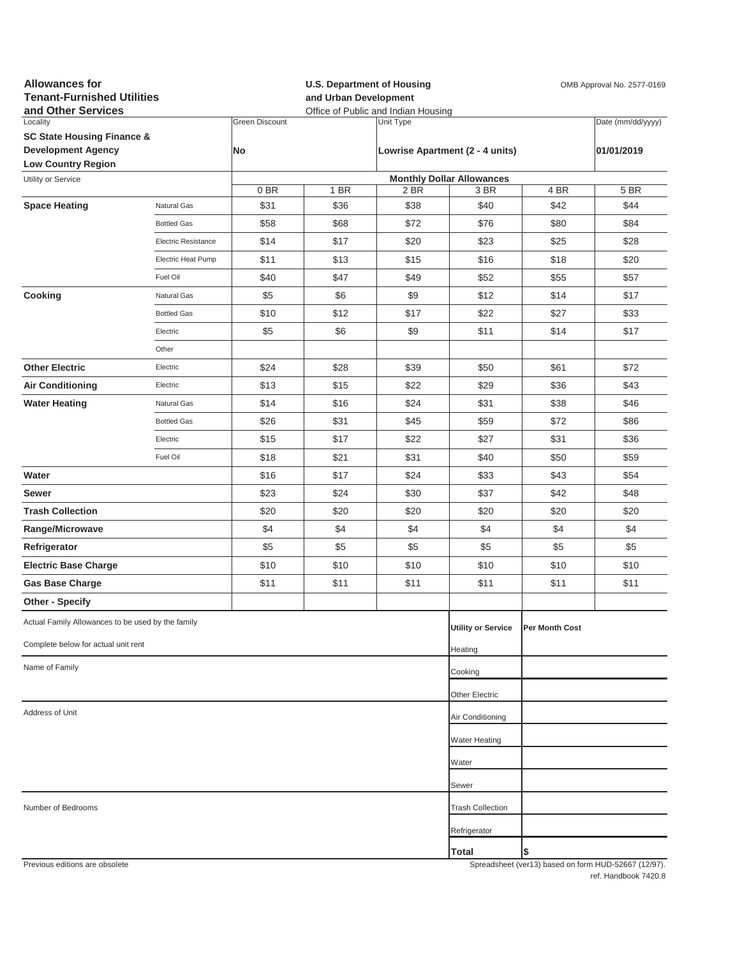| <b>Allowances for</b><br><b>Tenant-Furnished Utilities</b><br>and Other Services |                            |                       | <b>U.S. Department of Housing</b><br>and Urban Development<br>Office of Public and Indian Housing |           |                                  |                | OMB Approval No. 2577-0169                          |
|----------------------------------------------------------------------------------|----------------------------|-----------------------|---------------------------------------------------------------------------------------------------|-----------|----------------------------------|----------------|-----------------------------------------------------|
| Locality                                                                         |                            | <b>Green Discount</b> |                                                                                                   | Unit Type |                                  |                | Date (mm/dd/yyyy)                                   |
| <b>SC State Housing Finance &amp;</b>                                            |                            |                       |                                                                                                   |           |                                  |                |                                                     |
| <b>Development Agency</b><br><b>Low Country Region</b>                           |                            | <b>No</b>             |                                                                                                   |           | Lowrise Apartment (2 - 4 units)  |                | 01/01/2019                                          |
| Utility or Service                                                               |                            |                       |                                                                                                   |           | <b>Monthly Dollar Allowances</b> |                |                                                     |
|                                                                                  |                            | 0BR                   | 1 BR                                                                                              | 2 BR      | 3 BR                             | 4 BR           | 5 BR                                                |
| <b>Space Heating</b>                                                             | Natural Gas                | \$31                  | \$36                                                                                              | \$38      | \$40                             | \$42           | \$44                                                |
|                                                                                  | <b>Bottled Gas</b>         | \$58                  | \$68                                                                                              | \$72      | \$76                             | \$80           | \$84                                                |
|                                                                                  | <b>Electric Resistance</b> | \$14                  | \$17                                                                                              | \$20      | \$23                             | \$25           | \$28                                                |
|                                                                                  | Electric Heat Pump         | \$11                  | \$13                                                                                              | \$15      | \$16                             | \$18           | \$20                                                |
|                                                                                  | Fuel Oil                   | \$40                  | \$47                                                                                              | \$49      | \$52                             | \$55           | \$57                                                |
| Cooking                                                                          | Natural Gas                | \$5                   | \$6                                                                                               | \$9       | \$12                             | \$14           | \$17                                                |
|                                                                                  | <b>Bottled Gas</b>         | \$10                  | \$12                                                                                              | \$17      | \$22                             | \$27           | \$33                                                |
|                                                                                  | Electric                   | \$5                   | \$6                                                                                               | \$9       | \$11                             | \$14           | \$17                                                |
|                                                                                  | Other                      |                       |                                                                                                   |           |                                  |                |                                                     |
| <b>Other Electric</b>                                                            | Electric                   | \$24                  | \$28                                                                                              | \$39      | \$50                             | \$61           | \$72                                                |
| <b>Air Conditioning</b>                                                          | Electric                   | \$13                  | \$15                                                                                              | \$22      | \$29                             | \$36           | \$43                                                |
| <b>Water Heating</b>                                                             | Natural Gas                | \$14                  | \$16                                                                                              | \$24      | \$31                             | \$38           | \$46                                                |
|                                                                                  | <b>Bottled Gas</b>         | \$26                  | \$31                                                                                              | \$45      | \$59                             | \$72           | \$86                                                |
|                                                                                  | Electric                   | \$15                  | \$17                                                                                              | \$22      | \$27                             | \$31           | \$36                                                |
|                                                                                  | Fuel Oil                   | \$18                  | \$21                                                                                              | \$31      | \$40                             | \$50           | \$59                                                |
| Water                                                                            |                            | \$16                  | \$17                                                                                              | \$24      | \$33                             | \$43           | \$54                                                |
| Sewer                                                                            |                            | \$23                  | \$24                                                                                              | \$30      | \$37                             | \$42           | \$48                                                |
| <b>Trash Collection</b>                                                          |                            | \$20                  | \$20                                                                                              | \$20      | \$20                             | \$20           | \$20                                                |
| Range/Microwave                                                                  |                            | \$4                   | \$4                                                                                               | \$4       | \$4                              | \$4            | \$4                                                 |
| Refrigerator                                                                     |                            | \$5                   | \$5                                                                                               | \$5       | \$5                              | \$5            | \$5                                                 |
| <b>Electric Base Charge</b>                                                      |                            | \$10                  | \$10                                                                                              | \$10      | \$10                             | \$10           | \$10                                                |
| <b>Gas Base Charge</b>                                                           |                            | \$11                  | \$11                                                                                              | \$11      | \$11                             | \$11           | \$11                                                |
| Other - Specify                                                                  |                            |                       |                                                                                                   |           |                                  |                |                                                     |
| Actual Family Allowances to be used by the family                                |                            |                       |                                                                                                   |           |                                  |                |                                                     |
|                                                                                  |                            |                       |                                                                                                   |           | <b>Utility or Service</b>        | Per Month Cost |                                                     |
| Complete below for actual unit rent                                              |                            |                       |                                                                                                   |           | Heating                          |                |                                                     |
| Name of Family                                                                   |                            |                       |                                                                                                   |           | Cooking                          |                |                                                     |
|                                                                                  |                            |                       |                                                                                                   |           | Other Electric                   |                |                                                     |
| Address of Unit                                                                  |                            |                       |                                                                                                   |           | Air Conditioning                 |                |                                                     |
|                                                                                  |                            |                       |                                                                                                   |           | Water Heating                    |                |                                                     |
|                                                                                  |                            |                       |                                                                                                   |           | Water                            |                |                                                     |
|                                                                                  |                            |                       |                                                                                                   |           | Sewer                            |                |                                                     |
| Number of Bedrooms                                                               |                            |                       |                                                                                                   |           | <b>Trash Collection</b>          |                |                                                     |
|                                                                                  |                            |                       |                                                                                                   |           | Refrigerator                     |                |                                                     |
|                                                                                  |                            |                       |                                                                                                   |           | <b>Total</b>                     | \$             |                                                     |
| Previous editions are obsolete                                                   |                            |                       |                                                                                                   |           |                                  |                | Spreadsheet (ver13) hased on form HUD-52667 (12/97) |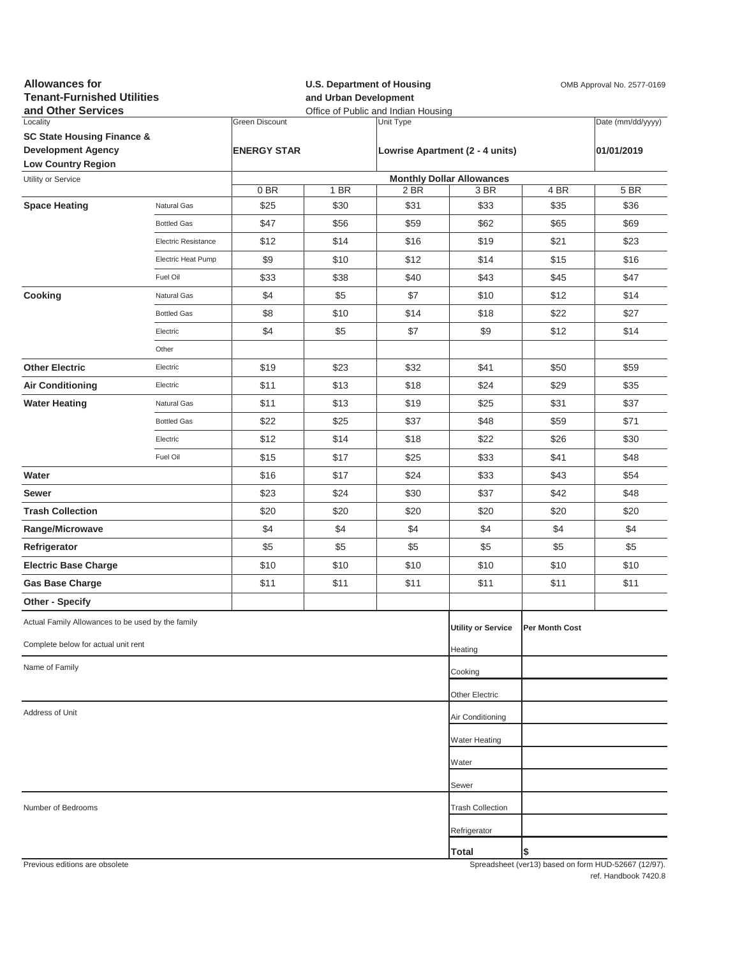| <b>Allowances for</b><br><b>Tenant-Furnished Utilities</b><br>and Other Services |                     |                       | <b>U.S. Department of Housing</b><br>and Urban Development<br>Office of Public and Indian Housing |              |                                  |                | OMB Approval No. 2577-0169                          |
|----------------------------------------------------------------------------------|---------------------|-----------------------|---------------------------------------------------------------------------------------------------|--------------|----------------------------------|----------------|-----------------------------------------------------|
| Locality                                                                         |                     | <b>Green Discount</b> |                                                                                                   | Unit Type    |                                  |                | Date (mm/dd/yyyy)                                   |
| <b>SC State Housing Finance &amp;</b><br><b>Development Agency</b>               |                     | <b>ENERGY STAR</b>    |                                                                                                   |              | Lowrise Apartment (2 - 4 units)  |                | 01/01/2019                                          |
| <b>Low Country Region</b>                                                        |                     |                       |                                                                                                   |              |                                  |                |                                                     |
| Utility or Service                                                               |                     |                       |                                                                                                   |              | <b>Monthly Dollar Allowances</b> |                |                                                     |
| <b>Space Heating</b>                                                             | Natural Gas         | 0BR<br>\$25           | 1 BR<br>\$30                                                                                      | 2 BR<br>\$31 | 3 BR<br>\$33                     | 4 BR<br>\$35   | 5 BR<br>\$36                                        |
|                                                                                  | <b>Bottled Gas</b>  | \$47                  | \$56                                                                                              | \$59         | \$62                             | \$65           | \$69                                                |
|                                                                                  | Electric Resistance | \$12                  | \$14                                                                                              | \$16         | \$19                             | \$21           | \$23                                                |
|                                                                                  | Electric Heat Pump  | \$9                   | \$10                                                                                              | \$12         | \$14                             | \$15           | \$16                                                |
|                                                                                  | Fuel Oil            | \$33                  | \$38                                                                                              | \$40         | \$43                             | \$45           | \$47                                                |
| Cooking                                                                          | Natural Gas         | \$4                   | \$5                                                                                               | \$7          | \$10                             | \$12           | \$14                                                |
|                                                                                  | <b>Bottled Gas</b>  | \$8                   | \$10                                                                                              | \$14         | \$18                             | \$22           | \$27                                                |
|                                                                                  | Electric            | \$4                   | \$5                                                                                               | \$7          | \$9                              | \$12           | \$14                                                |
|                                                                                  | Other               |                       |                                                                                                   |              |                                  |                |                                                     |
| <b>Other Electric</b>                                                            | Electric            | \$19                  | \$23                                                                                              | \$32         | \$41                             | \$50           | \$59                                                |
| <b>Air Conditioning</b>                                                          | Electric            | \$11                  | \$13                                                                                              | \$18         | \$24                             | \$29           | \$35                                                |
| <b>Water Heating</b>                                                             | <b>Natural Gas</b>  | \$11                  | \$13                                                                                              | \$19         | \$25                             | \$31           | \$37                                                |
|                                                                                  | <b>Bottled Gas</b>  | \$22                  | \$25                                                                                              | \$37         | \$48                             | \$59           | \$71                                                |
|                                                                                  | Electric            | \$12                  | \$14                                                                                              | \$18         | \$22                             | \$26           | \$30                                                |
|                                                                                  | Fuel Oil            | \$15                  | \$17                                                                                              | \$25         | \$33                             | \$41           | \$48                                                |
| Water                                                                            |                     | \$16                  | \$17                                                                                              | \$24         | \$33                             | \$43           | \$54                                                |
| Sewer                                                                            |                     | \$23                  | \$24                                                                                              | \$30         | \$37                             | \$42           | \$48                                                |
| <b>Trash Collection</b>                                                          |                     | \$20                  | \$20                                                                                              | \$20         | \$20                             | \$20           | \$20                                                |
| Range/Microwave                                                                  |                     | \$4                   | \$4                                                                                               | \$4          | \$4                              | \$4            | \$4                                                 |
| Refrigerator                                                                     |                     | \$5                   | \$5                                                                                               | \$5          | \$5                              | \$5            | \$5                                                 |
| <b>Electric Base Charge</b>                                                      |                     | \$10                  | \$10                                                                                              | \$10         | \$10                             | \$10           | \$10                                                |
| <b>Gas Base Charge</b>                                                           |                     | \$11                  | \$11                                                                                              | \$11         | \$11                             | \$11           | \$11                                                |
| <b>Other - Specify</b>                                                           |                     |                       |                                                                                                   |              |                                  |                |                                                     |
| Actual Family Allowances to be used by the family                                |                     |                       |                                                                                                   |              | <b>Utility or Service</b>        | Per Month Cost |                                                     |
| Complete below for actual unit rent                                              |                     |                       |                                                                                                   |              | Heating                          |                |                                                     |
| Name of Family                                                                   |                     |                       |                                                                                                   |              | Cooking                          |                |                                                     |
|                                                                                  |                     |                       |                                                                                                   |              |                                  |                |                                                     |
| Address of Unit                                                                  |                     |                       | Other Electric<br>Air Conditioning                                                                |              |                                  |                |                                                     |
|                                                                                  |                     |                       |                                                                                                   |              |                                  |                |                                                     |
|                                                                                  |                     |                       |                                                                                                   |              | Water Heating                    |                |                                                     |
|                                                                                  |                     |                       |                                                                                                   |              | Water                            |                |                                                     |
|                                                                                  |                     |                       |                                                                                                   |              | Sewer                            |                |                                                     |
| Number of Bedrooms                                                               |                     |                       |                                                                                                   |              | <b>Trash Collection</b>          |                |                                                     |
|                                                                                  |                     |                       |                                                                                                   |              | Refrigerator                     |                |                                                     |
|                                                                                  |                     |                       |                                                                                                   |              | Total                            | \$             |                                                     |
| Previous editions are obsolete                                                   |                     |                       |                                                                                                   |              |                                  |                | Spreadsheet (ver13) hased on form HUD-52667 (12/97) |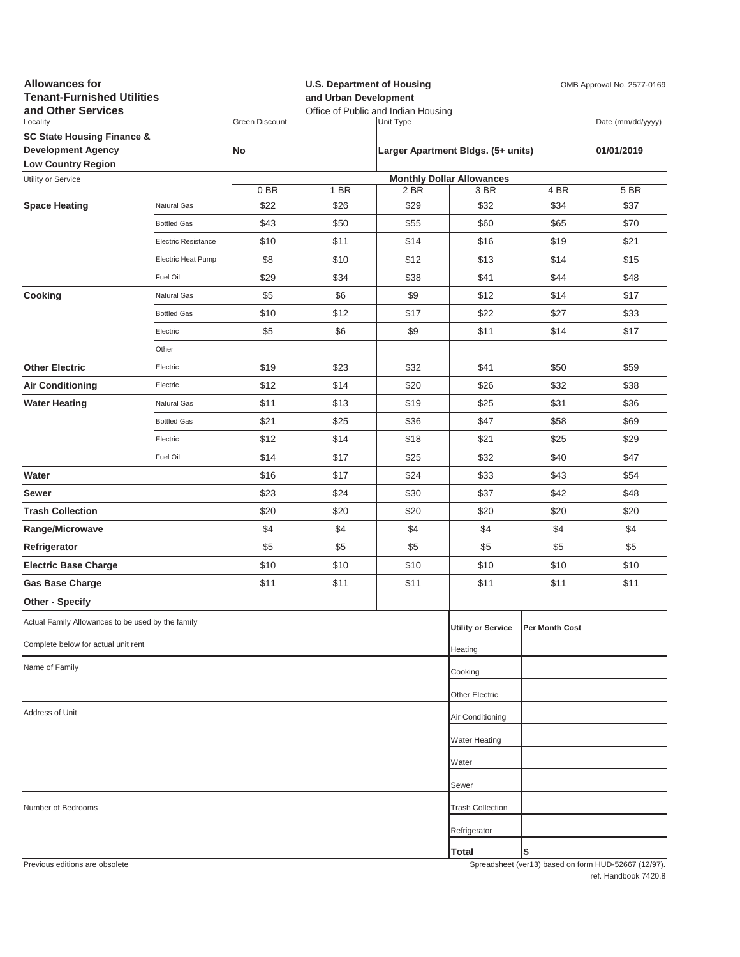| <b>Allowances for</b><br><b>Tenant-Furnished Utilities</b><br>and Other Services |                            |                       |                | <b>U.S. Department of Housing</b><br>OMB Approval No. 2577-0169<br>and Urban Development<br>Office of Public and Indian Housing |                                    |                |                                                     |
|----------------------------------------------------------------------------------|----------------------------|-----------------------|----------------|---------------------------------------------------------------------------------------------------------------------------------|------------------------------------|----------------|-----------------------------------------------------|
| Locality                                                                         |                            | <b>Green Discount</b> |                | Unit Type                                                                                                                       |                                    |                | Date (mm/dd/yyyy)                                   |
| <b>SC State Housing Finance &amp;</b>                                            |                            |                       |                |                                                                                                                                 |                                    |                | 01/01/2019                                          |
| <b>Development Agency</b><br><b>Low Country Region</b>                           |                            | No                    |                |                                                                                                                                 | Larger Apartment Bldgs. (5+ units) |                |                                                     |
| Utility or Service                                                               |                            |                       |                |                                                                                                                                 | <b>Monthly Dollar Allowances</b>   |                |                                                     |
|                                                                                  |                            | 0BR                   | 1 BR           | 2 BR                                                                                                                            | 3 BR                               | 4 BR           | 5 BR                                                |
| <b>Space Heating</b>                                                             | Natural Gas                | \$22                  | \$26           | \$29                                                                                                                            | \$32                               | \$34           | \$37                                                |
|                                                                                  | <b>Bottled Gas</b>         | \$43                  | \$50           | \$55                                                                                                                            | \$60                               | \$65           | \$70                                                |
|                                                                                  | <b>Electric Resistance</b> | \$10                  | \$11           | \$14                                                                                                                            | \$16                               | \$19           | \$21                                                |
|                                                                                  | Electric Heat Pump         | \$8                   | \$10           | \$12                                                                                                                            | \$13                               | \$14           | \$15                                                |
|                                                                                  | Fuel Oil                   | \$29                  | \$34           | \$38                                                                                                                            | \$41                               | \$44           | \$48                                                |
| Cooking                                                                          | Natural Gas                | \$5                   | \$6            | \$9                                                                                                                             | \$12                               | \$14           | \$17                                                |
|                                                                                  | <b>Bottled Gas</b>         | \$10                  | \$12           | \$17                                                                                                                            | \$22                               | \$27           | \$33                                                |
|                                                                                  | Electric                   | \$5                   | \$6            | \$9                                                                                                                             | \$11                               | \$14           | \$17                                                |
|                                                                                  | Other                      |                       |                |                                                                                                                                 |                                    |                |                                                     |
| <b>Other Electric</b>                                                            | Electric                   | \$19                  | \$23           | \$32                                                                                                                            | \$41                               | \$50           | \$59                                                |
| <b>Air Conditioning</b>                                                          | Electric                   | \$12                  | \$14           | \$20                                                                                                                            | \$26                               | \$32           | \$38                                                |
| <b>Water Heating</b>                                                             | Natural Gas                | \$11                  | \$13           | \$19                                                                                                                            | \$25                               | \$31           | \$36                                                |
|                                                                                  | <b>Bottled Gas</b>         | \$21                  | \$25           | \$36                                                                                                                            | \$47                               | \$58           | \$69                                                |
|                                                                                  | Electric                   | \$12                  | \$14           | \$18                                                                                                                            | \$21                               | \$25           | \$29                                                |
|                                                                                  | Fuel Oil                   | \$14                  | \$17           | \$25                                                                                                                            | \$32                               | \$40           | \$47                                                |
| Water                                                                            |                            | \$16                  | \$17           | \$24                                                                                                                            | \$33                               | \$43           | \$54                                                |
| Sewer                                                                            |                            | \$23                  | \$24           | \$30                                                                                                                            | \$37                               | \$42           | \$48                                                |
| <b>Trash Collection</b>                                                          |                            | \$20                  | \$20           | \$20                                                                                                                            | \$20                               | \$20           | \$20                                                |
| Range/Microwave                                                                  |                            | \$4                   | \$4            | \$4                                                                                                                             | \$4                                | \$4            | \$4                                                 |
| Refrigerator                                                                     |                            | \$5                   | \$5            | \$5                                                                                                                             | \$5                                | \$5            | \$5                                                 |
| <b>Electric Base Charge</b>                                                      |                            | \$10                  | \$10           | \$10                                                                                                                            | \$10                               | \$10           | \$10                                                |
| <b>Gas Base Charge</b>                                                           |                            | \$11                  | \$11           | \$11                                                                                                                            | \$11                               | \$11           | \$11                                                |
| Other - Specify                                                                  |                            |                       |                |                                                                                                                                 |                                    |                |                                                     |
| Actual Family Allowances to be used by the family                                |                            |                       |                |                                                                                                                                 | <b>Utility or Service</b>          | Per Month Cost |                                                     |
| Complete below for actual unit rent                                              |                            |                       |                |                                                                                                                                 |                                    |                |                                                     |
| Name of Family                                                                   |                            |                       |                |                                                                                                                                 | Heating<br>Cooking                 |                |                                                     |
|                                                                                  |                            |                       |                |                                                                                                                                 |                                    |                |                                                     |
| Address of Unit                                                                  |                            |                       | Other Electric |                                                                                                                                 |                                    |                |                                                     |
|                                                                                  |                            |                       |                |                                                                                                                                 | Air Conditioning                   |                |                                                     |
|                                                                                  |                            |                       |                |                                                                                                                                 | <b>Water Heating</b>               |                |                                                     |
|                                                                                  |                            |                       |                |                                                                                                                                 | Water                              |                |                                                     |
|                                                                                  |                            |                       |                |                                                                                                                                 | Sewer                              |                |                                                     |
| Number of Bedrooms                                                               |                            |                       |                |                                                                                                                                 | <b>Trash Collection</b>            |                |                                                     |
|                                                                                  |                            |                       |                |                                                                                                                                 | Refrigerator                       |                |                                                     |
|                                                                                  |                            |                       |                |                                                                                                                                 | Total                              | \$             |                                                     |
| Previous editions are obsolete                                                   |                            |                       |                |                                                                                                                                 |                                    |                | Spreadsheet (ver13) hased on form HUD-52667 (12/97) |